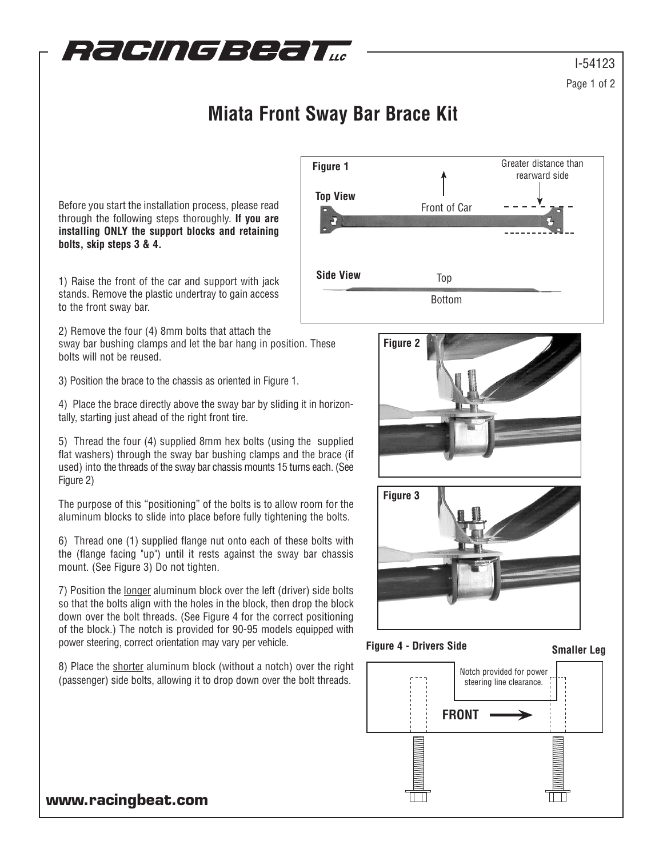

## **Miata Front Sway Bar Brace Kit**

Before you start the installation process, please read through the following steps thoroughly. **If you are installing ONLY the support blocks and retaining bolts, skip steps 3 & 4.**

1) Raise the front of the car and support with jack stands. Remove the plastic undertray to gain access to the front sway bar.

2) Remove the four (4) 8mm bolts that attach the

sway bar bushing clamps and let the bar hang in position. These bolts will not be reused.

3) Position the brace to the chassis as oriented in Figure 1.

4) Place the brace directly above the sway bar by sliding it in horizontally, starting just ahead of the right front tire.

5) Thread the four (4) supplied 8mm hex bolts (using the supplied flat washers) through the sway bar bushing clamps and the brace (if used) into the threads of the sway bar chassis mounts 15 turns each. (See Figure 2)

The purpose of this "positioning" of the bolts is to allow room for the aluminum blocks to slide into place before fully tightening the bolts.

6) Thread one (1) supplied flange nut onto each of these bolts with the (flange facing "up") until it rests against the sway bar chassis mount. (See Figure 3) Do not tighten.

7) Position the longer aluminum block over the left (driver) side bolts so that the bolts align with the holes in the block, then drop the block down over the bolt threads. (See Figure 4 for the correct positioning of the block.) The notch is provided for 90-95 models equipped with power steering, correct orientation may vary per vehicle.

8) Place the shorter aluminum block (without a notch) over the right (passenger) side bolts, allowing it to drop down over the bolt threads.







**Figure 4 - Drivers Side Smaller Leg**



## **www.racingbeat.com**